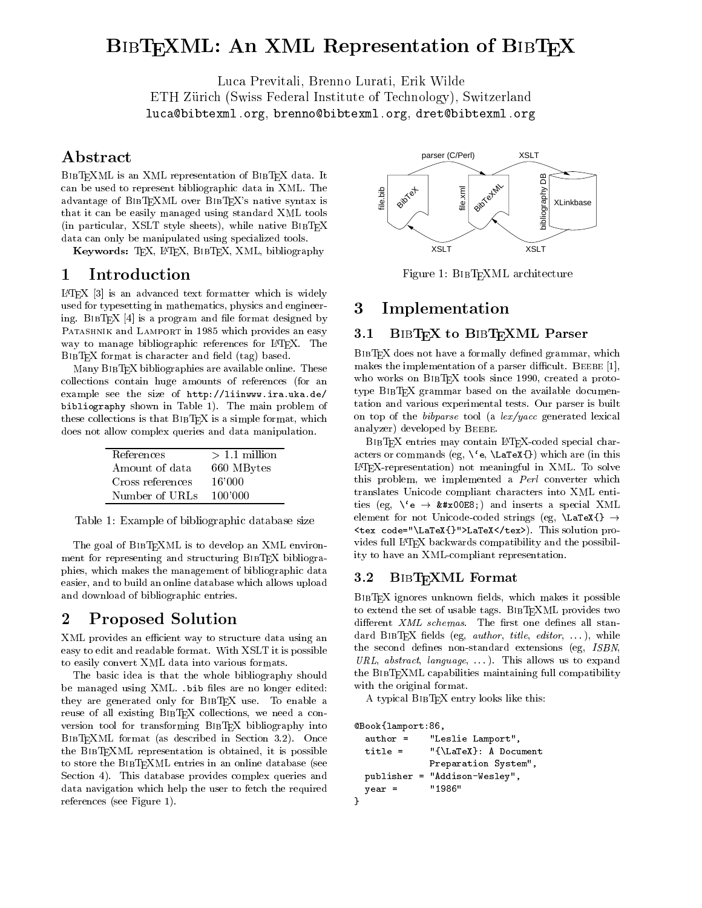# BIBTEXML: An XML Representation of BIBTEX

Luca Previtali, Brenno Lurati, Erik Wilde ETH Zurich (Swiss Federal Institute of Technology), Switzerland luca@bibtexml.org, brenno@bibtexml.org, dret@bibtexml.org

## Abstract

can be used to represent bibliographic data in XML. The advantage of BibTEXML over BibTEX's native syntax is that it can be easily managed using standard XML tools (in particular, XSLT style sheets), while native BibTEX data can only be manipulated using specialized tools.

Keywords: TEX, LATEX, BIBTEX, XML, bibliography

## 1 Introduction

 $L^2F[X]$  [3] is an advanced text formatter which is widely used for typesetting in mathematics, physics and engineering. BIBTEX  $[4]$  is a program and file format designed by PATASHNIK and LAMPORT in 1985 which provides an easy 3.1 way to manage bibliographic references for LATEX. The  $BIBT<sub>F</sub>X$  format is character and field  $(tag)$  based.

Many BIBT<sub>E</sub>X bibliographies are available online. These collections contain huge amounts of references (for an example see the size of http://liinwww.ira.uka.de/ bibliography shown in Table 1). The main problem of these collections is that  $BIBT<sub>F</sub>X$  is a simple format, which does not allow complex queries and data manipulation.

| References       | $>1.1$ million |
|------------------|----------------|
| Amount of data   | 660 MBytes     |
| Cross references | 16'000         |
| Number of URLs   | -100'000       |

Table 1: Example of bibliographic database size

The goal of BIBTEXML is to develop an XML environment for representing and structuring BIBT<sub>E</sub>X bibliographies, which makes the management of bibliographic data<br>explicit and the bibliographic data because the bibliographic data  $3.2$ easier, and to build an online database which allows upload and download of bibliographic entries.

#### $\overline{2}$ 2 Proposed Solution

XML provides an efficient way to structure data using an easy to edit and readable format. With XSLT it is possible to easily convert XML data into various formats.

The basic idea is that the whole bibliography should be managed using XML. .bib files are no longer edited: they are generated only for BIBTEX use. To enable a reuse of all existing BibTEX collections, we need a con version tool for transforming BIBTEX bibliography into CBook{lamp<br>BIBTEXML format (as described in Section 3.2). Once author =  $\mathbf{B}$  for a described in Section 3.2). One of  $\mathbf{B}$  $t_{\rm max}$  is the BibLEX representation is obtained, it is possible. to store the BibTEXML entries in an online database (see Section 4). This database provides complex queries and publisher = data navigation which help the user to fetch the required references (see Figure 1).



Figure 1: BIBTEXML architecture

#### 3 Implementation

#### BIBTEX to BIBTEXML Parser

BIBTEX does not have a formally defined grammar, which makes the implementation of a parser difficult. BEEBE  $[1]$ , Beebe [1], 1999, 1999, 1999, 1999, 1999, 1999, 1999, 1999, 1999, 1999, 1999, 1999, 1999, 1999, 1999, 1999, 1999, 1999, 1999, 1999, 1999, 1999, 1999, 1999, 1999, 1999, 1999, 1999, 1999, 1999, 1999, 1999, 1999, 1999, 1999, 1  $\mathbf{E}$  tools since 1990, created a prototype BibTEX grammar based on the available documentation and various experimental tests. Our parser is built on top of the bibparse tool (a lex/yacc generated lexical analyzer) developed by BEEBE.

BIBTEX entries may contain LATEX-coded special characters or commands (eg,  $\{e\}$ ,  $\text{LaTeX}\$ ) which are (in this LATEX-representation) not meaningful in XML. To solve this problem, we implemented a Perl converter which translates Unicode compliant characters into XML entities (eg,  $\Diamond$ 'e  $\rightarrow$  è) and inserts a special XML element for not Unicode-coded strings (eg,  $\text{LaTeX}\$ )  $\rightarrow$ <tex code="\LaTeX{}">LaTeX</tex>). This solution provides full L<sup>A</sup>T<sub>E</sub>X backwards compatibility and the possibility to have an XML-compliant representation.

#### BIBT<sub>EXML</sub> Format

BIBTEX ignores unknown fields, which makes it possible to extend the set of usable tags. BibTEXML provides two different  $XML$  schemas. The first one defines all stan- $\text{the second defines non-standard extensions (eg, ISBN, 1) }$ URL, abstract, language,  $\ldots$ ). This allows us to expand the BibTEXML capabilities maintaining full compatibility with the original format.

A typical BibTEX entry looks like this:

```
@Book{lamport:86,
```
}

```
"Leslie Lamport",
title = "{\LaTeX}: A Document
           Preparation System",
           "Addison-Wesley",
            "1986"
year =
```